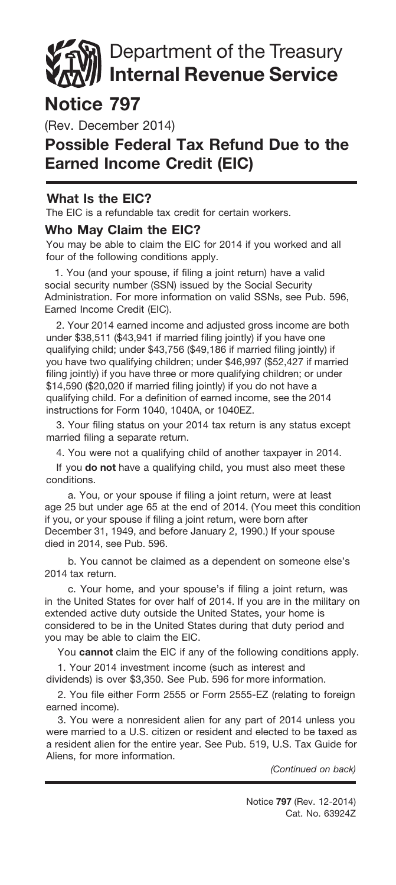# Department of the Treasury Internal Revenue Service

## Notice 797

(Rev. December 2014)

### Possible Federal Tax Refund Due to the Earned Income Credit (EIC)

#### What Is the EIC?

The EIC is a refundable tax credit for certain workers.

#### Who May Claim the EIC?

You may be able to claim the EIC for 2014 if you worked and all four of the following conditions apply.

1. You (and your spouse, if filing a joint return) have a valid social security number (SSN) issued by the Social Security Administration. For more information on valid SSNs, see Pub. 596, Earned Income Credit (EIC).

2. Your 2014 earned income and adjusted gross income are both under \$38,511 (\$43,941 if married filing jointly) if you have one qualifying child; under \$43,756 (\$49,186 if married filing jointly) if you have two qualifying children; under \$46,997 (\$52,427 if married filing jointly) if you have three or more qualifying children; or under \$14,590 (\$20,020 if married filing jointly) if you do not have a qualifying child. For a definition of earned income, see the 2014 instructions for Form 1040, 1040A, or 1040EZ.

3. Your filing status on your 2014 tax return is any status except married filing a separate return.

4. You were not a qualifying child of another taxpayer in 2014.

If you do not have a qualifying child, you must also meet these conditions.

a. You, or your spouse if filing a joint return, were at least age 25 but under age 65 at the end of 2014. (You meet this condition if you, or your spouse if filing a joint return, were born after December 31, 1949, and before January 2, 1990.) If your spouse died in 2014, see Pub. 596.

b. You cannot be claimed as a dependent on someone else's 2014 tax return.

c. Your home, and your spouse's if filing a joint return, was in the United States for over half of 2014. If you are in the military on extended active duty outside the United States, your home is considered to be in the United States during that duty period and you may be able to claim the EIC.

You cannot claim the EIC if any of the following conditions apply.

1. Your 2014 investment income (such as interest and dividends) is over \$3,350. See Pub. 596 for more information.

2. You file either Form 2555 or Form 2555-EZ (relating to foreign earned income).

3. You were a nonresident alien for any part of 2014 unless you were married to a U.S. citizen or resident and elected to be taxed as a resident alien for the entire year. See Pub. 519, U.S. Tax Guide for Aliens, for more information.

*(Continued on back)*

Cat. No. 63924Z Notice 797 (Rev. 12-2014)